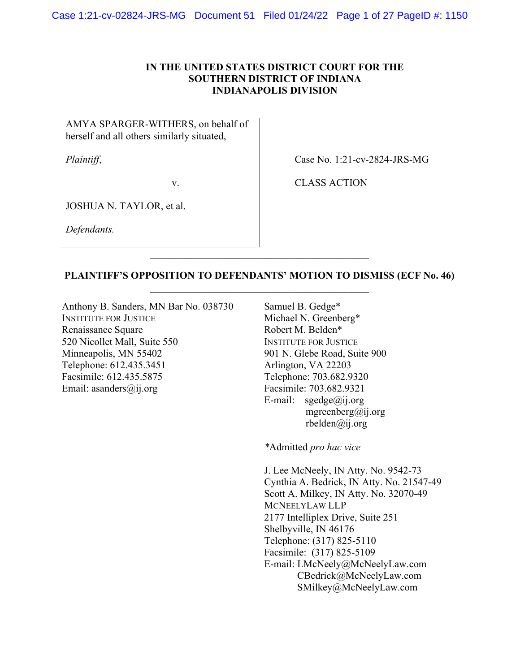## IN THE UNITED STATES DISTRICT COURT FOR THE SOUTHERN DISTRICT OF INDIANA INDIANAPOLIS DIVISION

AMYA SPARGER-WITHERS, on behalf of herself and all others similarly situated,

Plaintiff,

Case No. 1:21-cv-2824-JRS-MG

v.

CLASS ACTION

JOSHUA N. TAYLOR, et al.

Defendants.

PLAINTIFF'S OPPOSITION TO DEFENDANTS' MOTION TO DISMISS (ECF No. 46)  $\mathcal{L}_\mathcal{L} = \mathcal{L}_\mathcal{L} = \mathcal{L}_\mathcal{L} = \mathcal{L}_\mathcal{L} = \mathcal{L}_\mathcal{L} = \mathcal{L}_\mathcal{L} = \mathcal{L}_\mathcal{L} = \mathcal{L}_\mathcal{L} = \mathcal{L}_\mathcal{L} = \mathcal{L}_\mathcal{L} = \mathcal{L}_\mathcal{L} = \mathcal{L}_\mathcal{L} = \mathcal{L}_\mathcal{L} = \mathcal{L}_\mathcal{L} = \mathcal{L}_\mathcal{L} = \mathcal{L}_\mathcal{L} = \mathcal{L}_\mathcal{L}$ 

Anthony B. Sanders, MN Bar No. 038730 INSTITUTE FOR JUSTICE Renaissance Square 520 Nicollet Mall, Suite 550 Minneapolis, MN 55402 Telephone: 612.435.3451 Facsimile: 612.435.5875 Email: asanders@ij.org

Samuel B. Gedge\* Michael N. Greenberg\* Robert M. Belden\* INSTITUTE FOR JUSTICE 901 N. Glebe Road, Suite 900 Arlington, VA 22203 Telephone: 703.682.9320 Facsimile: 703.682.9321 E-mail:  $speedge@ii.org$ mgreenberg@ij.org rbelden@ij.org

\*Admitted pro hac vice

J. Lee McNeely, IN Atty. No. 9542-73 Cynthia A. Bedrick, IN Atty. No. 21547-49 Scott A. Milkey, IN Atty. No. 32070-49 MCNEELYLAW LLP 2177 Intelliplex Drive, Suite 251 Shelbyville, IN 46176 Telephone: (317) 825-5110 Facsimile: (317) 825-5109 E-mail: LMcNeely@McNeelyLaw.com CBedrick@McNeelyLaw.com SMilkey@McNeelyLaw.com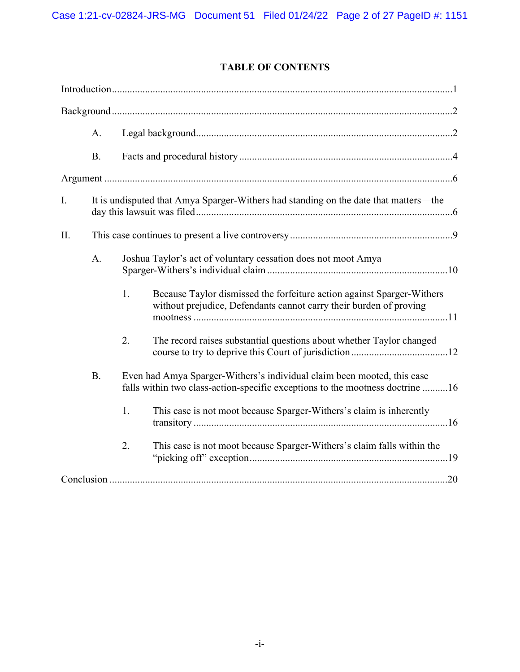# TABLE OF CONTENTS

|    | A.        |                                                                                                                                                          |                                                                                                                                              |  |  |  |
|----|-----------|----------------------------------------------------------------------------------------------------------------------------------------------------------|----------------------------------------------------------------------------------------------------------------------------------------------|--|--|--|
|    | <b>B.</b> |                                                                                                                                                          |                                                                                                                                              |  |  |  |
|    |           |                                                                                                                                                          |                                                                                                                                              |  |  |  |
| I. |           | It is undisputed that Amya Sparger-Withers had standing on the date that matters-the                                                                     |                                                                                                                                              |  |  |  |
| Π. |           |                                                                                                                                                          |                                                                                                                                              |  |  |  |
|    | A.        | Joshua Taylor's act of voluntary cessation does not moot Amya                                                                                            |                                                                                                                                              |  |  |  |
|    |           | 1.                                                                                                                                                       | Because Taylor dismissed the forfeiture action against Sparger-Withers<br>without prejudice, Defendants cannot carry their burden of proving |  |  |  |
|    |           | $\overline{2}$ .                                                                                                                                         | The record raises substantial questions about whether Taylor changed                                                                         |  |  |  |
|    | <b>B.</b> | Even had Amya Sparger-Withers's individual claim been mooted, this case<br>falls within two class-action-specific exceptions to the mootness doctrine 16 |                                                                                                                                              |  |  |  |
|    |           | 1.                                                                                                                                                       | This case is not moot because Sparger-Withers's claim is inherently                                                                          |  |  |  |
|    |           | 2.                                                                                                                                                       | This case is not moot because Sparger-Withers's claim falls within the                                                                       |  |  |  |
|    |           |                                                                                                                                                          |                                                                                                                                              |  |  |  |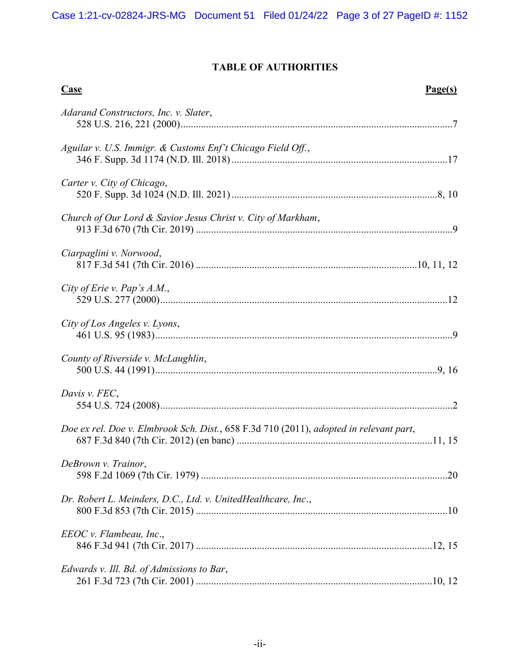# TABLE OF AUTHORITIES

| <b>Case</b><br>Page(s)                                                                 |
|----------------------------------------------------------------------------------------|
| Adarand Constructors, Inc. v. Slater,                                                  |
| Aguilar v. U.S. Immigr. & Customs Enf't Chicago Field Off.,                            |
| Carter v. City of Chicago,                                                             |
| Church of Our Lord & Savior Jesus Christ v. City of Markham,                           |
| Ciarpaglini v. Norwood,                                                                |
| City of Erie v. Pap's A.M.,                                                            |
| City of Los Angeles v. Lyons,                                                          |
| County of Riverside v. McLaughlin,                                                     |
| Davis v. FEC,                                                                          |
| Doe ex rel. Doe v. Elmbrook Sch. Dist., 658 F.3d 710 (2011), adopted in relevant part, |
| DeBrown v. Trainor,                                                                    |
| Dr. Robert L. Meinders, D.C., Ltd. v. UnitedHealthcare, Inc.,                          |
| $EEOC v.$ Flambeau, Inc.,                                                              |
| Edwards v. Ill. Bd. of Admissions to Bar,                                              |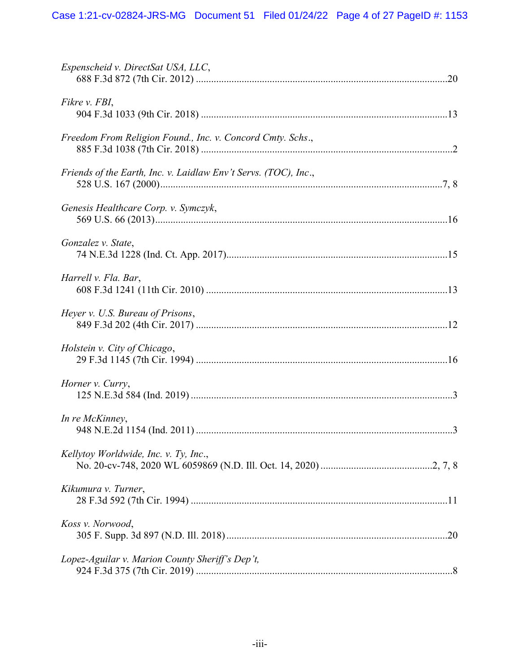| Espenscheid v. DirectSat USA, LLC,                              |
|-----------------------------------------------------------------|
| Fikre v. FBI,                                                   |
| Freedom From Religion Found., Inc. v. Concord Cmty. Schs.,      |
| Friends of the Earth, Inc. v. Laidlaw Env't Servs. (TOC), Inc., |
| Genesis Healthcare Corp. v. Symczyk,                            |
| Gonzalez v. State,                                              |
| Harrell v. Fla. Bar,                                            |
| Heyer v. U.S. Bureau of Prisons,                                |
| Holstein v. City of Chicago,                                    |
| Horner v. Curry,                                                |
| In re McKinney,                                                 |
| Kellytoy Worldwide, Inc. v. Ty, Inc.,                           |
| Kikumura v. Turner,                                             |
| Koss v. Norwood,                                                |
| Lopez-Aguilar v. Marion County Sheriff's Dep't,                 |
|                                                                 |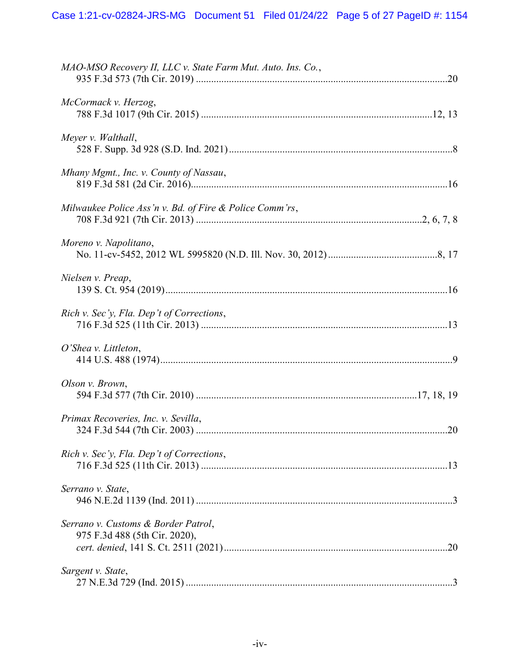| MAO-MSO Recovery II, LLC v. State Farm Mut. Auto. Ins. Co.,          |
|----------------------------------------------------------------------|
| McCormack v. Herzog,                                                 |
| Meyer v. Walthall,                                                   |
| Mhany Mgmt., Inc. v. County of Nassau,                               |
| Milwaukee Police Ass'n v. Bd. of Fire & Police Comm'rs,              |
| Moreno v. Napolitano,                                                |
| Nielsen v. Preap,                                                    |
| Rich v. Sec'y, Fla. Dep't of Corrections,                            |
| O'Shea v. Littleton,                                                 |
| Olson v. Brown,                                                      |
| Primax Recoveries, Inc. v. Sevilla,                                  |
| Rich v. Sec'y, Fla. Dep't of Corrections,                            |
| Serrano v. State,                                                    |
| Serrano v. Customs & Border Patrol,<br>975 F.3d 488 (5th Cir. 2020), |
| Sargent v. State,                                                    |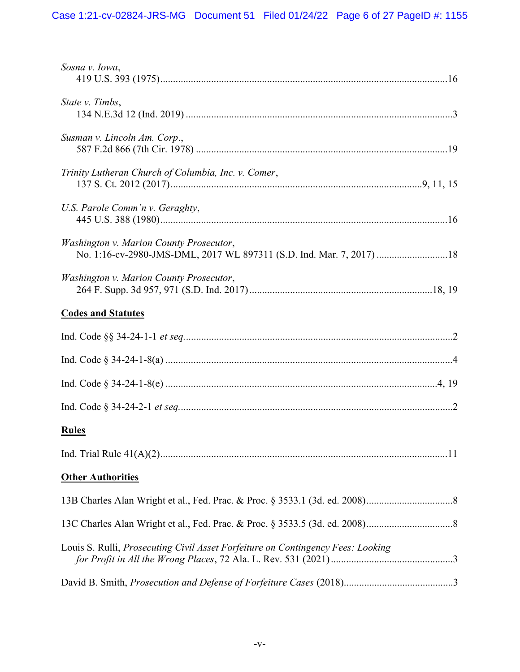| Sosna v. Iowa,                                                                                                  |
|-----------------------------------------------------------------------------------------------------------------|
| State v. Timbs,                                                                                                 |
| Susman v. Lincoln Am. Corp.,                                                                                    |
| Trinity Lutheran Church of Columbia, Inc. v. Comer,                                                             |
| U.S. Parole Comm'n v. Geraghty,                                                                                 |
| Washington v. Marion County Prosecutor,<br>No. 1:16-cv-2980-JMS-DML, 2017 WL 897311 (S.D. Ind. Mar. 7, 2017) 18 |
| Washington v. Marion County Prosecutor,                                                                         |
| <b>Codes and Statutes</b>                                                                                       |
|                                                                                                                 |
|                                                                                                                 |
|                                                                                                                 |
|                                                                                                                 |
| <b>Rules</b>                                                                                                    |
|                                                                                                                 |
| <b>Other Authorities</b>                                                                                        |
|                                                                                                                 |
|                                                                                                                 |
| Louis S. Rulli, Prosecuting Civil Asset Forfeiture on Contingency Fees: Looking                                 |
|                                                                                                                 |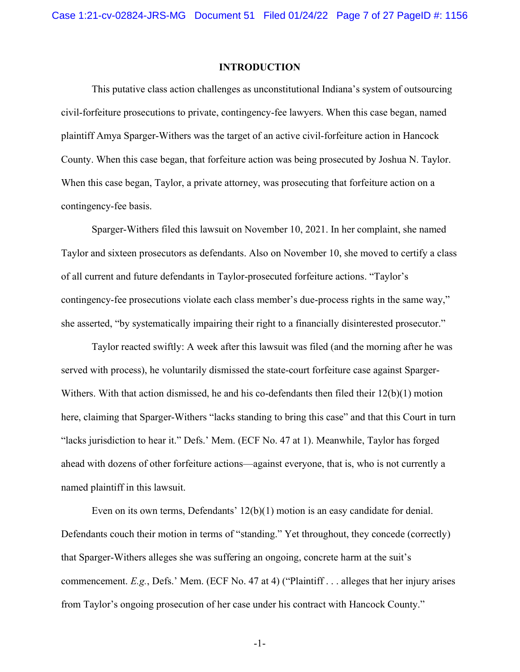#### INTRODUCTION

 This putative class action challenges as unconstitutional Indiana's system of outsourcing civil-forfeiture prosecutions to private, contingency-fee lawyers. When this case began, named plaintiff Amya Sparger-Withers was the target of an active civil-forfeiture action in Hancock County. When this case began, that forfeiture action was being prosecuted by Joshua N. Taylor. When this case began, Taylor, a private attorney, was prosecuting that forfeiture action on a contingency-fee basis.

Sparger-Withers filed this lawsuit on November 10, 2021. In her complaint, she named Taylor and sixteen prosecutors as defendants. Also on November 10, she moved to certify a class of all current and future defendants in Taylor-prosecuted forfeiture actions. "Taylor's contingency-fee prosecutions violate each class member's due-process rights in the same way," she asserted, "by systematically impairing their right to a financially disinterested prosecutor."

Taylor reacted swiftly: A week after this lawsuit was filed (and the morning after he was served with process), he voluntarily dismissed the state-court forfeiture case against Sparger-Withers. With that action dismissed, he and his co-defendants then filed their  $12(b)(1)$  motion here, claiming that Sparger-Withers "lacks standing to bring this case" and that this Court in turn "lacks jurisdiction to hear it." Defs.' Mem. (ECF No. 47 at 1). Meanwhile, Taylor has forged ahead with dozens of other forfeiture actions—against everyone, that is, who is not currently a named plaintiff in this lawsuit.

Even on its own terms, Defendants' 12(b)(1) motion is an easy candidate for denial. Defendants couch their motion in terms of "standing." Yet throughout, they concede (correctly) that Sparger-Withers alleges she was suffering an ongoing, concrete harm at the suit's commencement. E.g., Defs.' Mem. (ECF No. 47 at 4) ("Plaintiff . . . alleges that her injury arises from Taylor's ongoing prosecution of her case under his contract with Hancock County."

-1-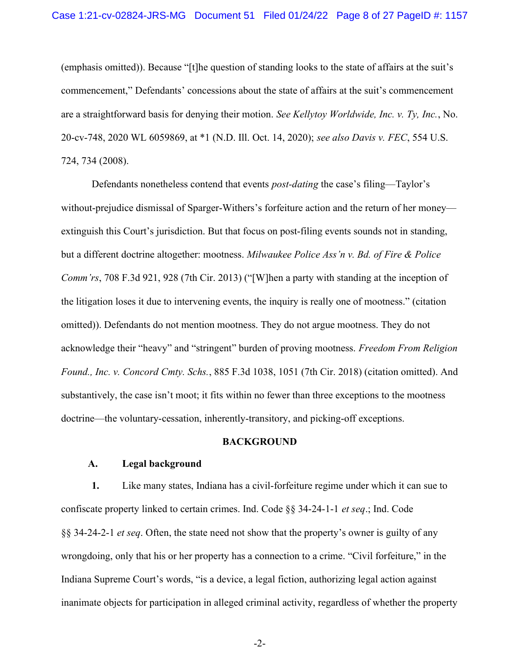(emphasis omitted)). Because "[t]he question of standing looks to the state of affairs at the suit's commencement," Defendants' concessions about the state of affairs at the suit's commencement are a straightforward basis for denying their motion. See Kellytoy Worldwide, Inc. v. Ty, Inc., No. 20-cv-748, 2020 WL 6059869, at \*1 (N.D. Ill. Oct. 14, 2020); see also Davis v. FEC, 554 U.S. 724, 734 (2008).

Defendants nonetheless contend that events *post-dating* the case's filing—Taylor's without-prejudice dismissal of Sparger-Withers's forfeiture action and the return of her money extinguish this Court's jurisdiction. But that focus on post-filing events sounds not in standing, but a different doctrine altogether: mootness. Milwaukee Police Ass'n v. Bd. of Fire & Police Comm'rs, 708 F.3d 921, 928 (7th Cir. 2013) ("[W]hen a party with standing at the inception of the litigation loses it due to intervening events, the inquiry is really one of mootness." (citation omitted)). Defendants do not mention mootness. They do not argue mootness. They do not acknowledge their "heavy" and "stringent" burden of proving mootness. Freedom From Religion Found., Inc. v. Concord Cmty. Schs., 885 F.3d 1038, 1051 (7th Cir. 2018) (citation omitted). And substantively, the case isn't moot; it fits within no fewer than three exceptions to the mootness doctrine—the voluntary-cessation, inherently-transitory, and picking-off exceptions.

#### BACKGROUND

### A. Legal background

1. Like many states, Indiana has a civil-forfeiture regime under which it can sue to confiscate property linked to certain crimes. Ind. Code §§ 34-24-1-1 et seq.; Ind. Code §§ 34-24-2-1 et seq. Often, the state need not show that the property's owner is guilty of any wrongdoing, only that his or her property has a connection to a crime. "Civil forfeiture," in the Indiana Supreme Court's words, "is a device, a legal fiction, authorizing legal action against inanimate objects for participation in alleged criminal activity, regardless of whether the property

-2-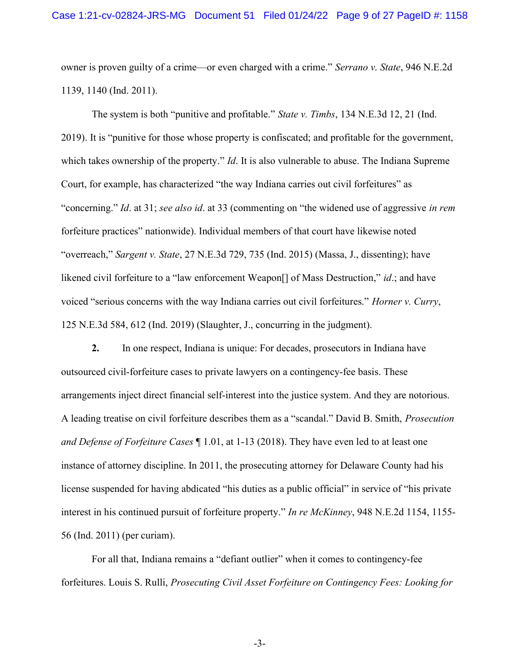owner is proven guilty of a crime—or even charged with a crime." Serrano v. State, 946 N.E.2d 1139, 1140 (Ind. 2011).

The system is both "punitive and profitable." State v. Timbs, 134 N.E.3d 12, 21 (Ind. 2019). It is "punitive for those whose property is confiscated; and profitable for the government, which takes ownership of the property." *Id*. It is also vulnerable to abuse. The Indiana Supreme Court, for example, has characterized "the way Indiana carries out civil forfeitures" as "concerning." Id. at 31; see also id. at 33 (commenting on "the widened use of aggressive in rem forfeiture practices" nationwide). Individual members of that court have likewise noted "overreach," Sargent v. State, 27 N.E.3d 729, 735 (Ind. 2015) (Massa, J., dissenting); have likened civil forfeiture to a "law enforcement Weapon[] of Mass Destruction," id.; and have voiced "serious concerns with the way Indiana carries out civil forfeitures." Horner v. Curry, 125 N.E.3d 584, 612 (Ind. 2019) (Slaughter, J., concurring in the judgment).

2. In one respect, Indiana is unique: For decades, prosecutors in Indiana have outsourced civil-forfeiture cases to private lawyers on a contingency-fee basis. These arrangements inject direct financial self-interest into the justice system. And they are notorious. A leading treatise on civil forfeiture describes them as a "scandal." David B. Smith, Prosecution and Defense of Forfeiture Cases  $\P$  1.01, at 1-13 (2018). They have even led to at least one instance of attorney discipline. In 2011, the prosecuting attorney for Delaware County had his license suspended for having abdicated "his duties as a public official" in service of "his private interest in his continued pursuit of forfeiture property." In re McKinney, 948 N.E.2d 1154, 1155- 56 (Ind. 2011) (per curiam).

 For all that, Indiana remains a "defiant outlier" when it comes to contingency-fee forfeitures. Louis S. Rulli, Prosecuting Civil Asset Forfeiture on Contingency Fees: Looking for

-3-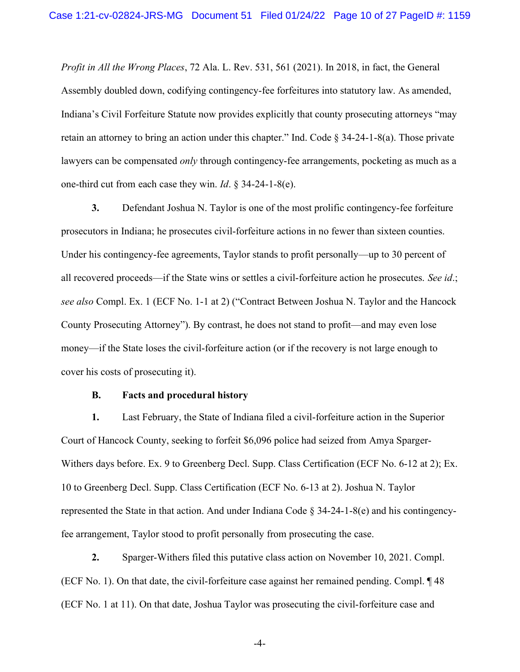Profit in All the Wrong Places, 72 Ala. L. Rev. 531, 561 (2021). In 2018, in fact, the General Assembly doubled down, codifying contingency-fee forfeitures into statutory law. As amended, Indiana's Civil Forfeiture Statute now provides explicitly that county prosecuting attorneys "may retain an attorney to bring an action under this chapter." Ind. Code § 34-24-1-8(a). Those private lawyers can be compensated *only* through contingency-fee arrangements, pocketing as much as a one-third cut from each case they win. Id. § 34-24-1-8(e).

3. Defendant Joshua N. Taylor is one of the most prolific contingency-fee forfeiture prosecutors in Indiana; he prosecutes civil-forfeiture actions in no fewer than sixteen counties. Under his contingency-fee agreements, Taylor stands to profit personally—up to 30 percent of all recovered proceeds—if the State wins or settles a civil-forfeiture action he prosecutes. See id.; see also Compl. Ex. 1 (ECF No. 1-1 at 2) ("Contract Between Joshua N. Taylor and the Hancock County Prosecuting Attorney"). By contrast, he does not stand to profit—and may even lose money—if the State loses the civil-forfeiture action (or if the recovery is not large enough to cover his costs of prosecuting it).

#### B. Facts and procedural history

1. Last February, the State of Indiana filed a civil-forfeiture action in the Superior Court of Hancock County, seeking to forfeit \$6,096 police had seized from Amya Sparger-Withers days before. Ex. 9 to Greenberg Decl. Supp. Class Certification (ECF No. 6-12 at 2); Ex. 10 to Greenberg Decl. Supp. Class Certification (ECF No. 6-13 at 2). Joshua N. Taylor represented the State in that action. And under Indiana Code § 34-24-1-8(e) and his contingencyfee arrangement, Taylor stood to profit personally from prosecuting the case.

2. Sparger-Withers filed this putative class action on November 10, 2021. Compl. (ECF No. 1). On that date, the civil-forfeiture case against her remained pending. Compl. ¶ 48 (ECF No. 1 at 11). On that date, Joshua Taylor was prosecuting the civil-forfeiture case and

-4-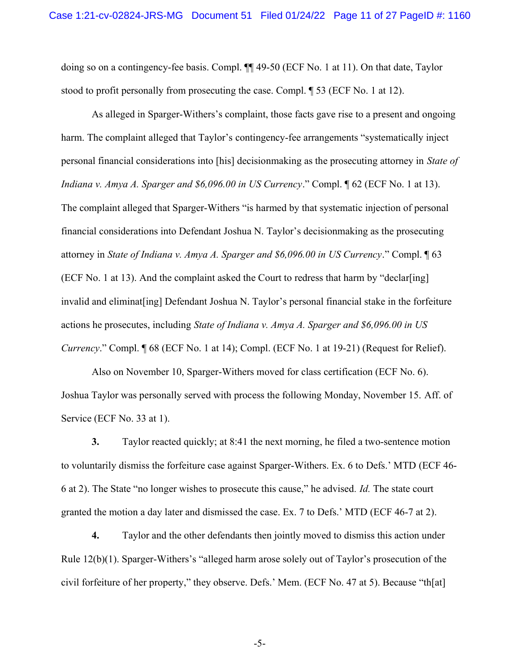doing so on a contingency-fee basis. Compl. ¶¶ 49-50 (ECF No. 1 at 11). On that date, Taylor stood to profit personally from prosecuting the case. Compl. ¶ 53 (ECF No. 1 at 12).

As alleged in Sparger-Withers's complaint, those facts gave rise to a present and ongoing harm. The complaint alleged that Taylor's contingency-fee arrangements "systematically inject personal financial considerations into [his] decisionmaking as the prosecuting attorney in State of Indiana v. Amya A. Sparger and \$6,096.00 in US Currency." Compl. ¶ 62 (ECF No. 1 at 13). The complaint alleged that Sparger-Withers "is harmed by that systematic injection of personal financial considerations into Defendant Joshua N. Taylor's decisionmaking as the prosecuting attorney in State of Indiana v. Amya A. Sparger and \$6,096.00 in US Currency." Compl. ¶ 63 (ECF No. 1 at 13). And the complaint asked the Court to redress that harm by "declar[ing] invalid and eliminat[ing] Defendant Joshua N. Taylor's personal financial stake in the forfeiture actions he prosecutes, including State of Indiana v. Amya A. Sparger and \$6,096.00 in US Currency." Compl. ¶ 68 (ECF No. 1 at 14); Compl. (ECF No. 1 at 19-21) (Request for Relief).

Also on November 10, Sparger-Withers moved for class certification (ECF No. 6). Joshua Taylor was personally served with process the following Monday, November 15. Aff. of Service (ECF No. 33 at 1).

3. Taylor reacted quickly; at 8:41 the next morning, he filed a two-sentence motion to voluntarily dismiss the forfeiture case against Sparger-Withers. Ex. 6 to Defs.' MTD (ECF 46- 6 at 2). The State "no longer wishes to prosecute this cause," he advised. Id. The state court granted the motion a day later and dismissed the case. Ex. 7 to Defs.' MTD (ECF 46-7 at 2).

4. Taylor and the other defendants then jointly moved to dismiss this action under Rule 12(b)(1). Sparger-Withers's "alleged harm arose solely out of Taylor's prosecution of the civil forfeiture of her property," they observe. Defs.' Mem. (ECF No. 47 at 5). Because "th[at]

-5-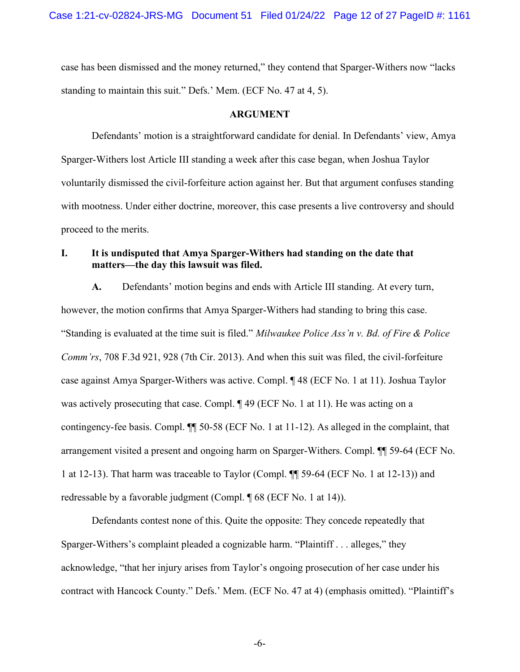case has been dismissed and the money returned," they contend that Sparger-Withers now "lacks standing to maintain this suit." Defs.' Mem. (ECF No. 47 at 4, 5).

#### ARGUMENT

 Defendants' motion is a straightforward candidate for denial. In Defendants' view, Amya Sparger-Withers lost Article III standing a week after this case began, when Joshua Taylor voluntarily dismissed the civil-forfeiture action against her. But that argument confuses standing with mootness. Under either doctrine, moreover, this case presents a live controversy and should proceed to the merits.

## I. It is undisputed that Amya Sparger-Withers had standing on the date that matters—the day this lawsuit was filed.

A. Defendants' motion begins and ends with Article III standing. At every turn, however, the motion confirms that Amya Sparger-Withers had standing to bring this case. "Standing is evaluated at the time suit is filed." *Milwaukee Police Ass'n v. Bd. of Fire & Police* Comm'rs, 708 F.3d 921, 928 (7th Cir. 2013). And when this suit was filed, the civil-forfeiture case against Amya Sparger-Withers was active. Compl. ¶ 48 (ECF No. 1 at 11). Joshua Taylor was actively prosecuting that case. Compl.  $\parallel$  49 (ECF No. 1 at 11). He was acting on a contingency-fee basis. Compl. ¶¶ 50-58 (ECF No. 1 at 11-12). As alleged in the complaint, that arrangement visited a present and ongoing harm on Sparger-Withers. Compl. ¶¶ 59-64 (ECF No. 1 at 12-13). That harm was traceable to Taylor (Compl. ¶¶ 59-64 (ECF No. 1 at 12-13)) and redressable by a favorable judgment (Compl. ¶ 68 (ECF No. 1 at 14)).

Defendants contest none of this. Quite the opposite: They concede repeatedly that Sparger-Withers's complaint pleaded a cognizable harm. "Plaintiff . . . alleges," they acknowledge, "that her injury arises from Taylor's ongoing prosecution of her case under his contract with Hancock County." Defs.' Mem. (ECF No. 47 at 4) (emphasis omitted). "Plaintiff's

-6-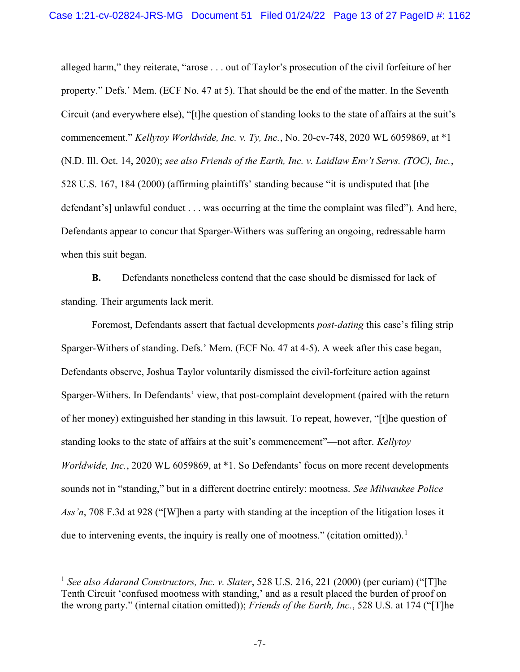alleged harm," they reiterate, "arose . . . out of Taylor's prosecution of the civil forfeiture of her property." Defs.' Mem. (ECF No. 47 at 5). That should be the end of the matter. In the Seventh Circuit (and everywhere else), "[t]he question of standing looks to the state of affairs at the suit's commencement." Kellytoy Worldwide, Inc. v. Ty, Inc., No. 20-cv-748, 2020 WL 6059869, at  $*1$ (N.D. Ill. Oct. 14, 2020); see also Friends of the Earth, Inc. v. Laidlaw Env't Servs. (TOC), Inc., 528 U.S. 167, 184 (2000) (affirming plaintiffs' standing because "it is undisputed that [the defendant's] unlawful conduct . . . was occurring at the time the complaint was filed"). And here, Defendants appear to concur that Sparger-Withers was suffering an ongoing, redressable harm when this suit began.

B. Defendants nonetheless contend that the case should be dismissed for lack of standing. Their arguments lack merit.

Foremost, Defendants assert that factual developments *post-dating* this case's filing strip Sparger-Withers of standing. Defs.' Mem. (ECF No. 47 at 4-5). A week after this case began, Defendants observe, Joshua Taylor voluntarily dismissed the civil-forfeiture action against Sparger-Withers. In Defendants' view, that post-complaint development (paired with the return of her money) extinguished her standing in this lawsuit. To repeat, however, "[t]he question of standing looks to the state of affairs at the suit's commencement"—not after. Kellytoy Worldwide, Inc., 2020 WL 6059869, at \*1. So Defendants' focus on more recent developments sounds not in "standing," but in a different doctrine entirely: mootness. See Milwaukee Police Ass'n, 708 F.3d at 928 ("[W]hen a party with standing at the inception of the litigation loses it due to intervening events, the inquiry is really one of mootness." (citation omitted)).<sup>1</sup>

<sup>&</sup>lt;sup>1</sup> See also Adarand Constructors, Inc. v. Slater, 528 U.S. 216, 221 (2000) (per curiam) ("[T]he Tenth Circuit 'confused mootness with standing,' and as a result placed the burden of proof on the wrong party." (internal citation omitted)); *Friends of the Earth, Inc.*, 528 U.S. at 174 ("[T]he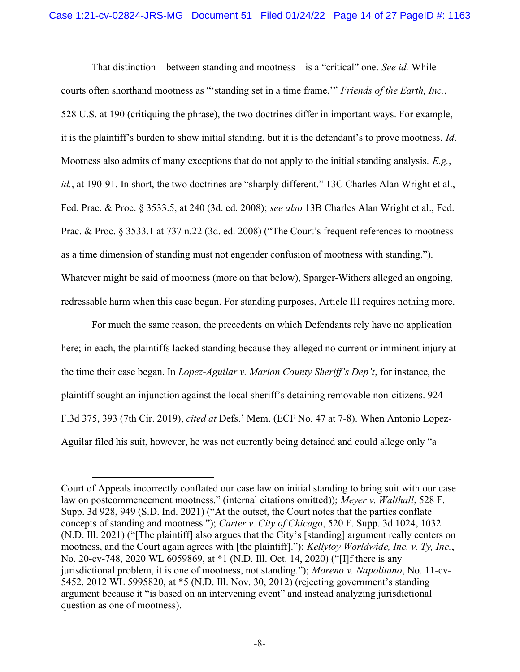That distinction—between standing and mootness—is a "critical" one. See id. While courts often shorthand mootness as "'standing set in a time frame,'" Friends of the Earth, Inc., 528 U.S. at 190 (critiquing the phrase), the two doctrines differ in important ways. For example, it is the plaintiff's burden to show initial standing, but it is the defendant's to prove mootness. Id. Mootness also admits of many exceptions that do not apply to the initial standing analysis.  $E.g.,$ id., at 190-91. In short, the two doctrines are "sharply different." 13C Charles Alan Wright et al., Fed. Prac. & Proc. § 3533.5, at 240 (3d. ed. 2008); see also 13B Charles Alan Wright et al., Fed. Prac. & Proc. § 3533.1 at 737 n.22 (3d. ed. 2008) ("The Court's frequent references to mootness as a time dimension of standing must not engender confusion of mootness with standing."). Whatever might be said of mootness (more on that below), Sparger-Withers alleged an ongoing, redressable harm when this case began. For standing purposes, Article III requires nothing more.

For much the same reason, the precedents on which Defendants rely have no application here; in each, the plaintiffs lacked standing because they alleged no current or imminent injury at the time their case began. In Lopez-Aguilar v. Marion County Sheriff's Dep't, for instance, the plaintiff sought an injunction against the local sheriff's detaining removable non-citizens. 924 F.3d 375, 393 (7th Cir. 2019), cited at Defs.' Mem. (ECF No. 47 at 7-8). When Antonio Lopez-Aguilar filed his suit, however, he was not currently being detained and could allege only "a

Court of Appeals incorrectly conflated our case law on initial standing to bring suit with our case law on postcommencement mootness." (internal citations omitted)); Meyer v. Walthall, 528 F. Supp. 3d 928, 949 (S.D. Ind. 2021) ("At the outset, the Court notes that the parties conflate concepts of standing and mootness."); Carter v. City of Chicago, 520 F. Supp. 3d 1024, 1032 (N.D. Ill. 2021) ("[The plaintiff] also argues that the City's [standing] argument really centers on mootness, and the Court again agrees with [the plaintiff]."); Kellytoy Worldwide, Inc. v. Ty, Inc., No. 20-cv-748, 2020 WL 6059869, at \*1 (N.D. Ill. Oct. 14, 2020) ("[I]f there is any jurisdictional problem, it is one of mootness, not standing."); Moreno v. Napolitano, No. 11-cv-5452, 2012 WL 5995820, at \*5 (N.D. Ill. Nov. 30, 2012) (rejecting government's standing argument because it "is based on an intervening event" and instead analyzing jurisdictional question as one of mootness).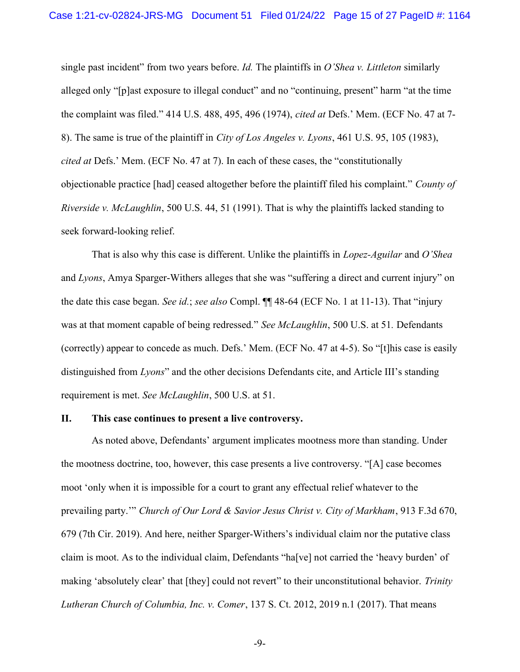single past incident" from two years before. Id. The plaintiffs in O'Shea v. Littleton similarly alleged only "[p]ast exposure to illegal conduct" and no "continuing, present" harm "at the time the complaint was filed." 414 U.S. 488, 495, 496 (1974), cited at Defs.' Mem. (ECF No. 47 at 7- 8). The same is true of the plaintiff in City of Los Angeles v. Lyons, 461 U.S. 95, 105 (1983), cited at Defs.' Mem. (ECF No. 47 at 7). In each of these cases, the "constitutionally objectionable practice [had] ceased altogether before the plaintiff filed his complaint." County of Riverside v. McLaughlin, 500 U.S. 44, 51 (1991). That is why the plaintiffs lacked standing to seek forward-looking relief.

That is also why this case is different. Unlike the plaintiffs in *Lopez-Aguilar* and O'Shea and Lyons, Amya Sparger-Withers alleges that she was "suffering a direct and current injury" on the date this case began. See id.; see also Compl.  $\P\P$  48-64 (ECF No. 1 at 11-13). That "injury was at that moment capable of being redressed." See McLaughlin, 500 U.S. at 51. Defendants (correctly) appear to concede as much. Defs.' Mem. (ECF No. 47 at 4-5). So "[t]his case is easily distinguished from Lyons" and the other decisions Defendants cite, and Article III's standing requirement is met. See McLaughlin, 500 U.S. at 51.

## II. This case continues to present a live controversy.

As noted above, Defendants' argument implicates mootness more than standing. Under the mootness doctrine, too, however, this case presents a live controversy. "[A] case becomes moot 'only when it is impossible for a court to grant any effectual relief whatever to the prevailing party." Church of Our Lord & Savior Jesus Christ v. City of Markham, 913 F.3d 670, 679 (7th Cir. 2019). And here, neither Sparger-Withers's individual claim nor the putative class claim is moot. As to the individual claim, Defendants "ha[ve] not carried the 'heavy burden' of making 'absolutely clear' that [they] could not revert" to their unconstitutional behavior. Trinity Lutheran Church of Columbia, Inc. v. Comer, 137 S. Ct. 2012, 2019 n.1 (2017). That means

-9-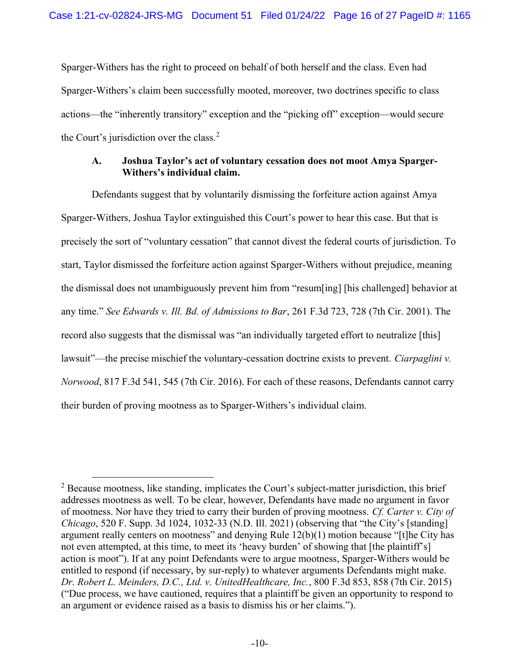Sparger-Withers has the right to proceed on behalf of both herself and the class. Even had Sparger-Withers's claim been successfully mooted, moreover, two doctrines specific to class actions—the "inherently transitory" exception and the "picking off" exception—would secure the Court's jurisdiction over the class. $<sup>2</sup>$ </sup>

## A. Joshua Taylor's act of voluntary cessation does not moot Amya Sparger-Withers's individual claim.

Defendants suggest that by voluntarily dismissing the forfeiture action against Amya Sparger-Withers, Joshua Taylor extinguished this Court's power to hear this case. But that is precisely the sort of "voluntary cessation" that cannot divest the federal courts of jurisdiction. To start, Taylor dismissed the forfeiture action against Sparger-Withers without prejudice, meaning the dismissal does not unambiguously prevent him from "resum[ing] [his challenged] behavior at any time." See Edwards v. Ill. Bd. of Admissions to Bar, 261 F.3d 723, 728 (7th Cir. 2001). The record also suggests that the dismissal was "an individually targeted effort to neutralize [this] lawsuit"—the precise mischief the voluntary-cessation doctrine exists to prevent. *Ciarpaglini v.* Norwood, 817 F.3d 541, 545 (7th Cir. 2016). For each of these reasons, Defendants cannot carry their burden of proving mootness as to Sparger-Withers's individual claim.

 $2^2$  Because mootness, like standing, implicates the Court's subject-matter jurisdiction, this brief addresses mootness as well. To be clear, however, Defendants have made no argument in favor of mootness. Nor have they tried to carry their burden of proving mootness. Cf. Carter v. City of Chicago, 520 F. Supp. 3d 1024, 1032-33 (N.D. Ill. 2021) (observing that "the City's [standing] argument really centers on mootness" and denying Rule 12(b)(1) motion because "[t]he City has not even attempted, at this time, to meet its 'heavy burden' of showing that [the plaintiff's] action is moot"). If at any point Defendants were to argue mootness, Sparger-Withers would be entitled to respond (if necessary, by sur-reply) to whatever arguments Defendants might make. Dr. Robert L. Meinders, D.C., Ltd. v. UnitedHealthcare, Inc., 800 F.3d 853, 858 (7th Cir. 2015) ("Due process, we have cautioned, requires that a plaintiff be given an opportunity to respond to an argument or evidence raised as a basis to dismiss his or her claims.").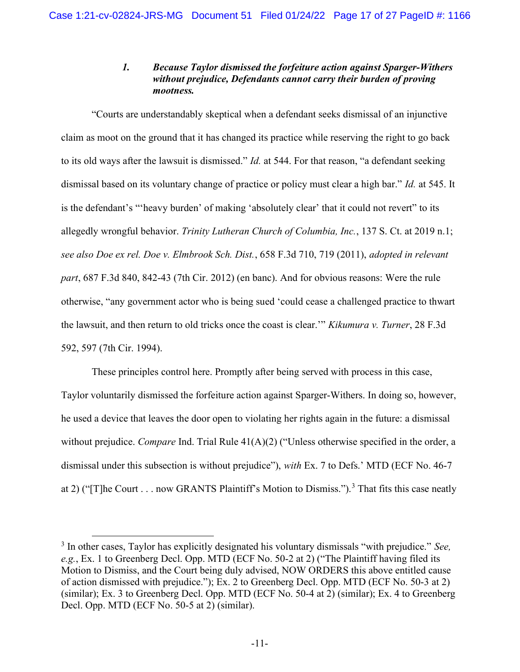## 1. Because Taylor dismissed the forfeiture action against Sparger-Withers without prejudice, Defendants cannot carry their burden of proving mootness.

"Courts are understandably skeptical when a defendant seeks dismissal of an injunctive claim as moot on the ground that it has changed its practice while reserving the right to go back to its old ways after the lawsuit is dismissed." *Id.* at 544. For that reason, "a defendant seeking dismissal based on its voluntary change of practice or policy must clear a high bar." Id. at 545. It is the defendant's "'heavy burden' of making 'absolutely clear' that it could not revert" to its allegedly wrongful behavior. Trinity Lutheran Church of Columbia, Inc., 137 S. Ct. at 2019 n.1; see also Doe ex rel. Doe v. Elmbrook Sch. Dist., 658 F.3d 710, 719 (2011), adopted in relevant part, 687 F.3d 840, 842-43 (7th Cir. 2012) (en banc). And for obvious reasons: Were the rule otherwise, "any government actor who is being sued 'could cease a challenged practice to thwart the lawsuit, and then return to old tricks once the coast is clear.'" Kikumura v. Turner, 28 F.3d 592, 597 (7th Cir. 1994).

These principles control here. Promptly after being served with process in this case, Taylor voluntarily dismissed the forfeiture action against Sparger-Withers. In doing so, however, he used a device that leaves the door open to violating her rights again in the future: a dismissal without prejudice. *Compare* Ind. Trial Rule  $41(A)(2)$  ("Unless otherwise specified in the order, a dismissal under this subsection is without prejudice"), with Ex. 7 to Defs.' MTD (ECF No. 46-7 at 2) ("The Court . . . now GRANTS Plaintiff's Motion to Dismiss.").<sup>3</sup> That fits this case neatly

 $3$  In other cases, Taylor has explicitly designated his voluntary dismissals "with prejudice." See, e.g., Ex. 1 to Greenberg Decl. Opp. MTD (ECF No. 50-2 at 2) ("The Plaintiff having filed its Motion to Dismiss, and the Court being duly advised, NOW ORDERS this above entitled cause of action dismissed with prejudice."); Ex. 2 to Greenberg Decl. Opp. MTD (ECF No. 50-3 at 2) (similar); Ex. 3 to Greenberg Decl. Opp. MTD (ECF No. 50-4 at 2) (similar); Ex. 4 to Greenberg Decl. Opp. MTD (ECF No. 50-5 at 2) (similar).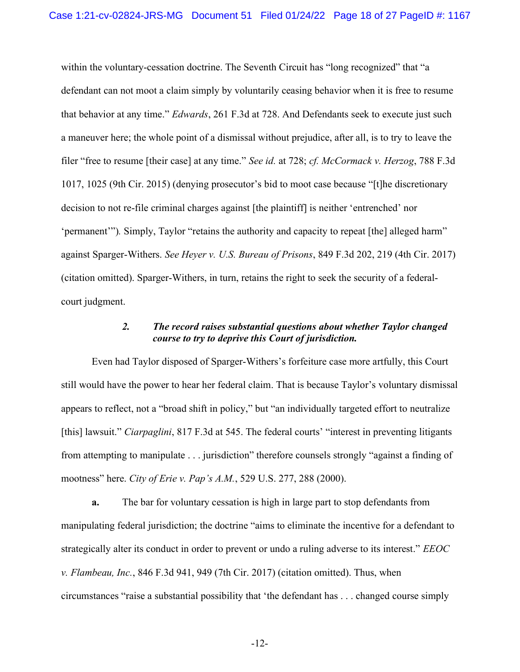within the voluntary-cessation doctrine. The Seventh Circuit has "long recognized" that "a defendant can not moot a claim simply by voluntarily ceasing behavior when it is free to resume that behavior at any time." Edwards, 261 F.3d at 728. And Defendants seek to execute just such a maneuver here; the whole point of a dismissal without prejudice, after all, is to try to leave the filer "free to resume [their case] at any time." See id. at 728; cf. McCormack v. Herzog, 788 F.3d 1017, 1025 (9th Cir. 2015) (denying prosecutor's bid to moot case because "[t]he discretionary decision to not re-file criminal charges against [the plaintiff] is neither 'entrenched' nor 'permanent'"). Simply, Taylor "retains the authority and capacity to repeat [the] alleged harm" against Sparger-Withers. See Heyer v. U.S. Bureau of Prisons, 849 F.3d 202, 219 (4th Cir. 2017) (citation omitted). Sparger-Withers, in turn, retains the right to seek the security of a federalcourt judgment.

## 2. The record raises substantial questions about whether Taylor changed course to try to deprive this Court of jurisdiction.

Even had Taylor disposed of Sparger-Withers's forfeiture case more artfully, this Court still would have the power to hear her federal claim. That is because Taylor's voluntary dismissal appears to reflect, not a "broad shift in policy," but "an individually targeted effort to neutralize [this] lawsuit." Ciarpaglini, 817 F.3d at 545. The federal courts' "interest in preventing litigants from attempting to manipulate . . . jurisdiction" therefore counsels strongly "against a finding of mootness" here. City of Erie v. Pap's A.M., 529 U.S. 277, 288 (2000).

a. The bar for voluntary cessation is high in large part to stop defendants from manipulating federal jurisdiction; the doctrine "aims to eliminate the incentive for a defendant to strategically alter its conduct in order to prevent or undo a ruling adverse to its interest." EEOC v. Flambeau, Inc., 846 F.3d 941, 949 (7th Cir. 2017) (citation omitted). Thus, when circumstances "raise a substantial possibility that 'the defendant has . . . changed course simply

-12-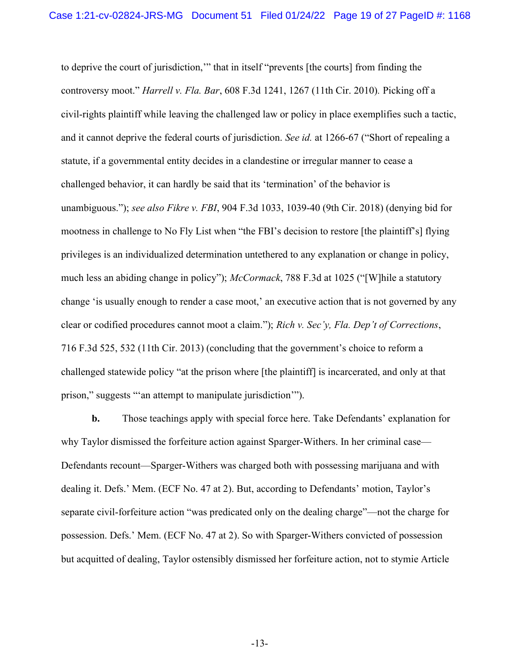to deprive the court of jurisdiction,'" that in itself "prevents [the courts] from finding the controversy moot." Harrell v. Fla. Bar, 608 F.3d 1241, 1267 (11th Cir. 2010). Picking off a civil-rights plaintiff while leaving the challenged law or policy in place exemplifies such a tactic, and it cannot deprive the federal courts of jurisdiction. See id. at 1266-67 ("Short of repealing a statute, if a governmental entity decides in a clandestine or irregular manner to cease a challenged behavior, it can hardly be said that its 'termination' of the behavior is unambiguous."); see also Fikre v. FBI, 904 F.3d 1033, 1039-40 (9th Cir. 2018) (denying bid for mootness in challenge to No Fly List when "the FBI's decision to restore [the plaintiff's] flying privileges is an individualized determination untethered to any explanation or change in policy, much less an abiding change in policy"); McCormack, 788 F.3d at 1025 ("[W] hile a statutory change 'is usually enough to render a case moot,' an executive action that is not governed by any clear or codified procedures cannot moot a claim."); Rich v. Sec'y, Fla. Dep't of Corrections, 716 F.3d 525, 532 (11th Cir. 2013) (concluding that the government's choice to reform a challenged statewide policy "at the prison where [the plaintiff] is incarcerated, and only at that prison," suggests "'an attempt to manipulate jurisdiction'").

b. Those teachings apply with special force here. Take Defendants' explanation for why Taylor dismissed the forfeiture action against Sparger-Withers. In her criminal case— Defendants recount—Sparger-Withers was charged both with possessing marijuana and with dealing it. Defs.' Mem. (ECF No. 47 at 2). But, according to Defendants' motion, Taylor's separate civil-forfeiture action "was predicated only on the dealing charge"—not the charge for possession. Defs.' Mem. (ECF No. 47 at 2). So with Sparger-Withers convicted of possession but acquitted of dealing, Taylor ostensibly dismissed her forfeiture action, not to stymie Article

-13-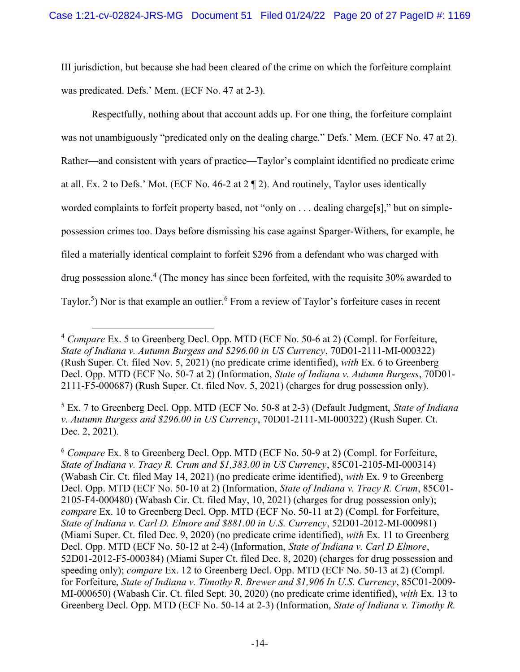III jurisdiction, but because she had been cleared of the crime on which the forfeiture complaint was predicated. Defs.' Mem. (ECF No. 47 at 2-3).

Respectfully, nothing about that account adds up. For one thing, the forfeiture complaint was not unambiguously "predicated only on the dealing charge." Defs.' Mem. (ECF No. 47 at 2). Rather—and consistent with years of practice—Taylor's complaint identified no predicate crime at all. Ex. 2 to Defs.' Mot. (ECF No. 46-2 at 2 ¶ 2). And routinely, Taylor uses identically worded complaints to forfeit property based, not "only on . . . dealing charge[s]," but on simplepossession crimes too. Days before dismissing his case against Sparger-Withers, for example, he filed a materially identical complaint to forfeit \$296 from a defendant who was charged with drug possession alone.<sup>4</sup> (The money has since been forfeited, with the requisite 30% awarded to Taylor.<sup>5</sup>) Nor is that example an outlier.<sup>6</sup> From a review of Taylor's forfeiture cases in recent

 $4$  Compare Ex. 5 to Greenberg Decl. Opp. MTD (ECF No. 50-6 at 2) (Compl. for Forfeiture, State of Indiana v. Autumn Burgess and \$296.00 in US Currency, 70D01-2111-MI-000322) (Rush Super. Ct. filed Nov. 5, 2021) (no predicate crime identified), with Ex. 6 to Greenberg Decl. Opp. MTD (ECF No. 50-7 at 2) (Information, *State of Indiana v. Autumn Burgess*, 70D01-2111-F5-000687) (Rush Super. Ct. filed Nov. 5, 2021) (charges for drug possession only).

 $<sup>5</sup>$  Ex. 7 to Greenberg Decl. Opp. MTD (ECF No. 50-8 at 2-3) (Default Judgment, State of Indiana</sup> v. Autumn Burgess and \$296.00 in US Currency, 70D01-2111-MI-000322) (Rush Super. Ct. Dec. 2, 2021).

 $6$  Compare Ex. 8 to Greenberg Decl. Opp. MTD (ECF No. 50-9 at 2) (Compl. for Forfeiture, State of Indiana v. Tracy R. Crum and \$1,383.00 in US Currency, 85C01-2105-MI-000314) (Wabash Cir. Ct. filed May 14, 2021) (no predicate crime identified), with Ex. 9 to Greenberg Decl. Opp. MTD (ECF No. 50-10 at 2) (Information, State of Indiana v. Tracy R. Crum, 85C01-2105-F4-000480) (Wabash Cir. Ct. filed May, 10, 2021) (charges for drug possession only); compare Ex. 10 to Greenberg Decl. Opp. MTD (ECF No. 50-11 at 2) (Compl. for Forfeiture, State of Indiana v. Carl D. Elmore and \$881.00 in U.S. Currency, 52D01-2012-MI-000981) (Miami Super. Ct. filed Dec. 9, 2020) (no predicate crime identified), with Ex. 11 to Greenberg Decl. Opp. MTD (ECF No. 50-12 at 2-4) (Information, *State of Indiana v. Carl D Elmore*, 52D01-2012-F5-000384) (Miami Super Ct. filed Dec. 8, 2020) (charges for drug possession and speeding only); *compare* Ex. 12 to Greenberg Decl. Opp. MTD (ECF No. 50-13 at 2) (Compl. for Forfeiture, State of Indiana v. Timothy R. Brewer and \$1,906 In U.S. Currency, 85C01-2009- MI-000650) (Wabash Cir. Ct. filed Sept. 30, 2020) (no predicate crime identified), with Ex. 13 to Greenberg Decl. Opp. MTD (ECF No. 50-14 at 2-3) (Information, *State of Indiana v. Timothy R.*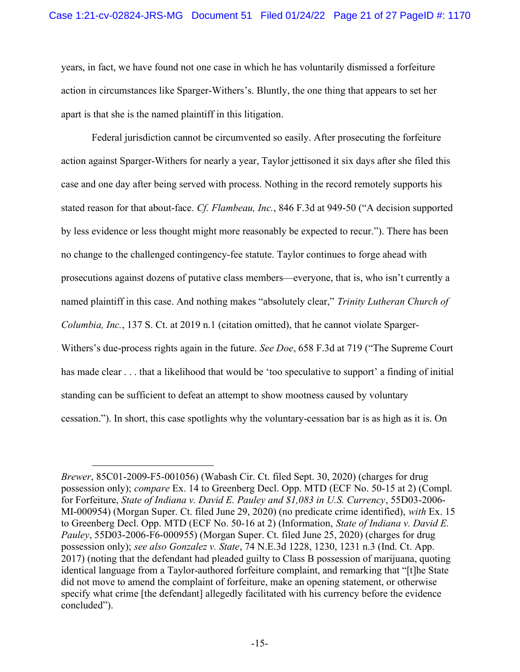years, in fact, we have found not one case in which he has voluntarily dismissed a forfeiture action in circumstances like Sparger-Withers's. Bluntly, the one thing that appears to set her apart is that she is the named plaintiff in this litigation.

Federal jurisdiction cannot be circumvented so easily. After prosecuting the forfeiture action against Sparger-Withers for nearly a year, Taylor jettisoned it six days after she filed this case and one day after being served with process. Nothing in the record remotely supports his stated reason for that about-face. Cf. Flambeau, Inc., 846 F.3d at 949-50 ("A decision supported by less evidence or less thought might more reasonably be expected to recur."). There has been no change to the challenged contingency-fee statute. Taylor continues to forge ahead with prosecutions against dozens of putative class members—everyone, that is, who isn't currently a named plaintiff in this case. And nothing makes "absolutely clear," Trinity Lutheran Church of Columbia, Inc., 137 S. Ct. at 2019 n.1 (citation omitted), that he cannot violate Sparger-Withers's due-process rights again in the future. See Doe, 658 F.3d at 719 ("The Supreme Court") has made clear . . . that a likelihood that would be 'too speculative to support' a finding of initial standing can be sufficient to defeat an attempt to show mootness caused by voluntary cessation."). In short, this case spotlights why the voluntary-cessation bar is as high as it is. On

Brewer, 85C01-2009-F5-001056) (Wabash Cir. Ct. filed Sept. 30, 2020) (charges for drug possession only); compare Ex. 14 to Greenberg Decl. Opp. MTD (ECF No. 50-15 at 2) (Compl. for Forfeiture, State of Indiana v. David E. Pauley and \$1,083 in U.S. Currency, 55D03-2006- MI-000954) (Morgan Super. Ct. filed June 29, 2020) (no predicate crime identified), with Ex. 15 to Greenberg Decl. Opp. MTD (ECF No. 50-16 at 2) (Information, State of Indiana v. David E. Pauley, 55D03-2006-F6-000955) (Morgan Super. Ct. filed June 25, 2020) (charges for drug possession only); see also Gonzalez v. State, 74 N.E.3d 1228, 1230, 1231 n.3 (Ind. Ct. App. 2017) (noting that the defendant had pleaded guilty to Class B possession of marijuana, quoting identical language from a Taylor-authored forfeiture complaint, and remarking that "[t]he State did not move to amend the complaint of forfeiture, make an opening statement, or otherwise specify what crime [the defendant] allegedly facilitated with his currency before the evidence concluded").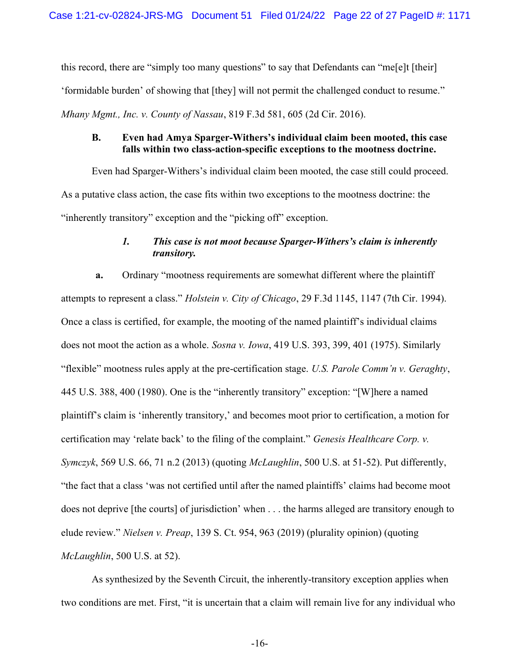this record, there are "simply too many questions" to say that Defendants can "me[e]t [their] 'formidable burden' of showing that [they] will not permit the challenged conduct to resume." Mhany Mgmt., Inc. v. County of Nassau, 819 F.3d 581, 605 (2d Cir. 2016).

## B. Even had Amya Sparger-Withers's individual claim been mooted, this case falls within two class-action-specific exceptions to the mootness doctrine.

Even had Sparger-Withers's individual claim been mooted, the case still could proceed. As a putative class action, the case fits within two exceptions to the mootness doctrine: the "inherently transitory" exception and the "picking off" exception.

# 1. This case is not moot because Sparger-Withers's claim is inherently transitory.

a. Ordinary "mootness requirements are somewhat different where the plaintiff attempts to represent a class." Holstein v. City of Chicago, 29 F.3d 1145, 1147 (7th Cir. 1994). Once a class is certified, for example, the mooting of the named plaintiff's individual claims does not moot the action as a whole. Sosna v. Iowa, 419 U.S. 393, 399, 401 (1975). Similarly "flexible" mootness rules apply at the pre-certification stage. U.S. Parole Comm'n v. Geraghty, 445 U.S. 388, 400 (1980). One is the "inherently transitory" exception: "[W]here a named plaintiff's claim is 'inherently transitory,' and becomes moot prior to certification, a motion for certification may 'relate back' to the filing of the complaint." Genesis Healthcare Corp. v. Symczyk, 569 U.S. 66, 71 n.2 (2013) (quoting McLaughlin, 500 U.S. at 51-52). Put differently, "the fact that a class 'was not certified until after the named plaintiffs' claims had become moot does not deprive [the courts] of jurisdiction' when . . . the harms alleged are transitory enough to elude review." Nielsen v. Preap, 139 S. Ct. 954, 963 (2019) (plurality opinion) (quoting McLaughlin, 500 U.S. at 52).

As synthesized by the Seventh Circuit, the inherently-transitory exception applies when two conditions are met. First, "it is uncertain that a claim will remain live for any individual who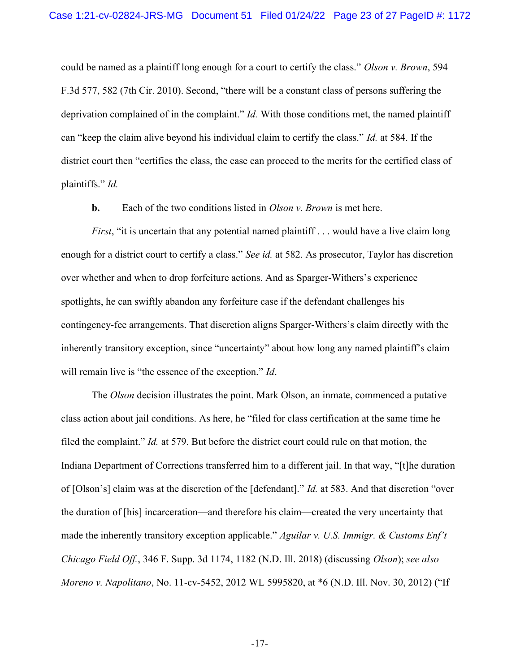could be named as a plaintiff long enough for a court to certify the class." Olson v. Brown, 594 F.3d 577, 582 (7th Cir. 2010). Second, "there will be a constant class of persons suffering the deprivation complained of in the complaint." *Id.* With those conditions met, the named plaintiff can "keep the claim alive beyond his individual claim to certify the class." Id. at 584. If the district court then "certifies the class, the case can proceed to the merits for the certified class of plaintiffs." Id.

**b.** Each of the two conditions listed in *Olson v. Brown* is met here.

*First*, "it is uncertain that any potential named plaintiff  $\ldots$  would have a live claim long enough for a district court to certify a class." See id. at 582. As prosecutor, Taylor has discretion over whether and when to drop forfeiture actions. And as Sparger-Withers's experience spotlights, he can swiftly abandon any forfeiture case if the defendant challenges his contingency-fee arrangements. That discretion aligns Sparger-Withers's claim directly with the inherently transitory exception, since "uncertainty" about how long any named plaintiff's claim will remain live is "the essence of the exception." *Id.* 

The *Olson* decision illustrates the point. Mark Olson, an inmate, commenced a putative class action about jail conditions. As here, he "filed for class certification at the same time he filed the complaint." Id. at 579. But before the district court could rule on that motion, the Indiana Department of Corrections transferred him to a different jail. In that way, "[t]he duration of [Olson's] claim was at the discretion of the [defendant]." Id. at 583. And that discretion "over the duration of [his] incarceration—and therefore his claim—created the very uncertainty that made the inherently transitory exception applicable." Aguilar v. U.S. Immigr. & Customs Enf't Chicago Field Off., 346 F. Supp. 3d 1174, 1182 (N.D. Ill. 2018) (discussing Olson); see also Moreno v. Napolitano, No. 11-cv-5452, 2012 WL 5995820, at \*6 (N.D. Ill. Nov. 30, 2012) ("If

-17-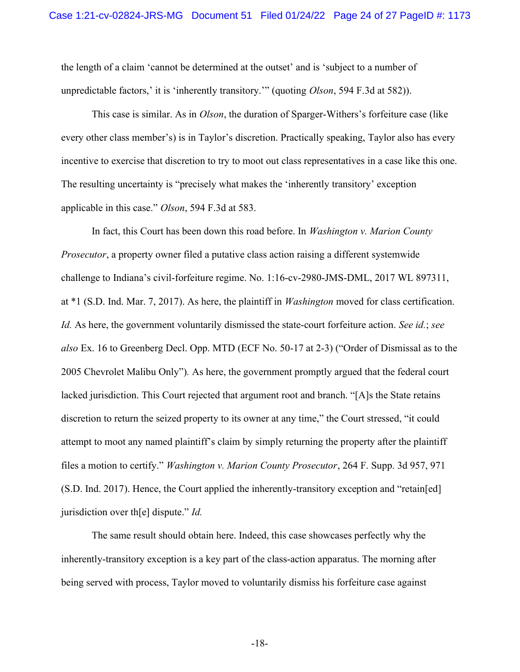the length of a claim 'cannot be determined at the outset' and is 'subject to a number of unpredictable factors,' it is 'inherently transitory.'" (quoting *Olson*, 594 F.3d at 582)).

This case is similar. As in *Olson*, the duration of Sparger-Withers's forfeiture case (like every other class member's) is in Taylor's discretion. Practically speaking, Taylor also has every incentive to exercise that discretion to try to moot out class representatives in a case like this one. The resulting uncertainty is "precisely what makes the 'inherently transitory' exception applicable in this case." Olson, 594 F.3d at 583.

In fact, this Court has been down this road before. In *Washington v. Marion County* Prosecutor, a property owner filed a putative class action raising a different systemwide challenge to Indiana's civil-forfeiture regime. No. 1:16-cv-2980-JMS-DML, 2017 WL 897311, at \*1 (S.D. Ind. Mar. 7, 2017). As here, the plaintiff in Washington moved for class certification. Id. As here, the government voluntarily dismissed the state-court forfeiture action. See id.; see also Ex. 16 to Greenberg Decl. Opp. MTD (ECF No. 50-17 at 2-3) ("Order of Dismissal as to the 2005 Chevrolet Malibu Only"). As here, the government promptly argued that the federal court lacked jurisdiction. This Court rejected that argument root and branch. "[A]s the State retains discretion to return the seized property to its owner at any time," the Court stressed, "it could attempt to moot any named plaintiff's claim by simply returning the property after the plaintiff files a motion to certify." *Washington v. Marion County Prosecutor*, 264 F. Supp. 3d 957, 971 (S.D. Ind. 2017). Hence, the Court applied the inherently-transitory exception and "retain[ed] jurisdiction over th[e] dispute."  $Id$ .

The same result should obtain here. Indeed, this case showcases perfectly why the inherently-transitory exception is a key part of the class-action apparatus. The morning after being served with process, Taylor moved to voluntarily dismiss his forfeiture case against

-18-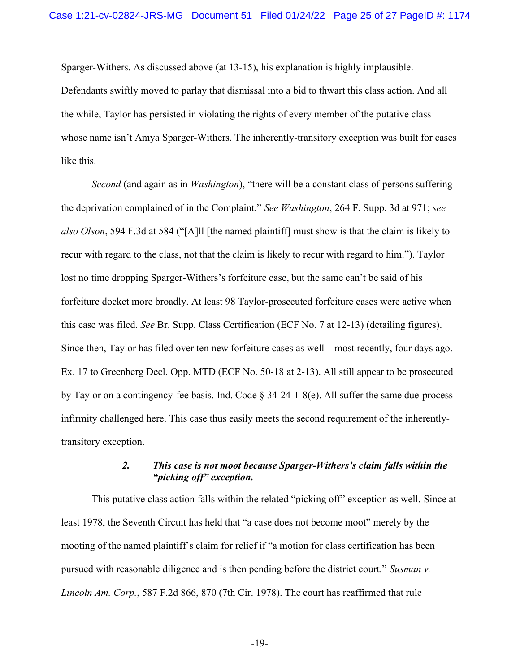Sparger-Withers. As discussed above (at 13-15), his explanation is highly implausible. Defendants swiftly moved to parlay that dismissal into a bid to thwart this class action. And all the while, Taylor has persisted in violating the rights of every member of the putative class whose name isn't Amya Sparger-Withers. The inherently-transitory exception was built for cases like this.

Second (and again as in *Washington*), "there will be a constant class of persons suffering the deprivation complained of in the Complaint." See Washington, 264 F. Supp. 3d at 971; see also Olson, 594 F.3d at 584 ("[A]ll [the named plaintiff] must show is that the claim is likely to recur with regard to the class, not that the claim is likely to recur with regard to him."). Taylor lost no time dropping Sparger-Withers's forfeiture case, but the same can't be said of his forfeiture docket more broadly. At least 98 Taylor-prosecuted forfeiture cases were active when this case was filed. See Br. Supp. Class Certification (ECF No. 7 at 12-13) (detailing figures). Since then, Taylor has filed over ten new forfeiture cases as well—most recently, four days ago. Ex. 17 to Greenberg Decl. Opp. MTD (ECF No. 50-18 at 2-13). All still appear to be prosecuted by Taylor on a contingency-fee basis. Ind. Code § 34-24-1-8(e). All suffer the same due-process infirmity challenged here. This case thus easily meets the second requirement of the inherentlytransitory exception.

# 2. This case is not moot because Sparger-Withers's claim falls within the "picking off" exception.

This putative class action falls within the related "picking off" exception as well. Since at least 1978, the Seventh Circuit has held that "a case does not become moot" merely by the mooting of the named plaintiff's claim for relief if "a motion for class certification has been pursued with reasonable diligence and is then pending before the district court." Susman v. Lincoln Am. Corp., 587 F.2d 866, 870 (7th Cir. 1978). The court has reaffirmed that rule

-19-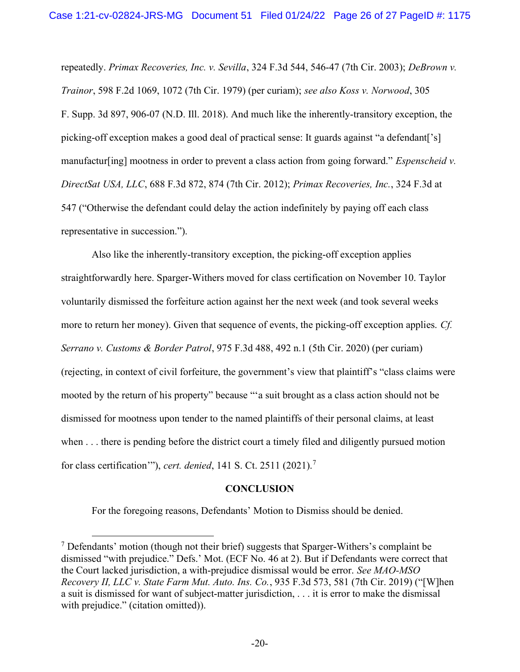repeatedly. Primax Recoveries, Inc. v. Sevilla, 324 F.3d 544, 546-47 (7th Cir. 2003); DeBrown v. Trainor, 598 F.2d 1069, 1072 (7th Cir. 1979) (per curiam); see also Koss v. Norwood, 305 F. Supp. 3d 897, 906-07 (N.D. Ill. 2018). And much like the inherently-transitory exception, the picking-off exception makes a good deal of practical sense: It guards against "a defendant['s] manufactur[ing] mootness in order to prevent a class action from going forward." *Espenscheid v.* DirectSat USA, LLC, 688 F.3d 872, 874 (7th Cir. 2012); Primax Recoveries, Inc., 324 F.3d at 547 ("Otherwise the defendant could delay the action indefinitely by paying off each class representative in succession.").

Also like the inherently-transitory exception, the picking-off exception applies straightforwardly here. Sparger-Withers moved for class certification on November 10. Taylor voluntarily dismissed the forfeiture action against her the next week (and took several weeks more to return her money). Given that sequence of events, the picking-off exception applies. Cf. Serrano v. Customs & Border Patrol, 975 F.3d 488, 492 n.1 (5th Cir. 2020) (per curiam) (rejecting, in context of civil forfeiture, the government's view that plaintiff's "class claims were mooted by the return of his property" because "'a suit brought as a class action should not be dismissed for mootness upon tender to the named plaintiffs of their personal claims, at least when . . . there is pending before the district court a timely filed and diligently pursued motion for class certification'"), *cert. denied*, 141 S. Ct. 2511 (2021).<sup>7</sup>

### **CONCLUSION**

For the foregoing reasons, Defendants' Motion to Dismiss should be denied.

 $<sup>7</sup>$  Defendants' motion (though not their brief) suggests that Sparger-Withers's complaint be</sup> dismissed "with prejudice." Defs.' Mot. (ECF No. 46 at 2). But if Defendants were correct that the Court lacked jurisdiction, a with-prejudice dismissal would be error. See MAO-MSO Recovery II, LLC v. State Farm Mut. Auto. Ins. Co., 935 F.3d 573, 581 (7th Cir. 2019) ("[W]hen a suit is dismissed for want of subject-matter jurisdiction, . . . it is error to make the dismissal with prejudice." (citation omitted)).